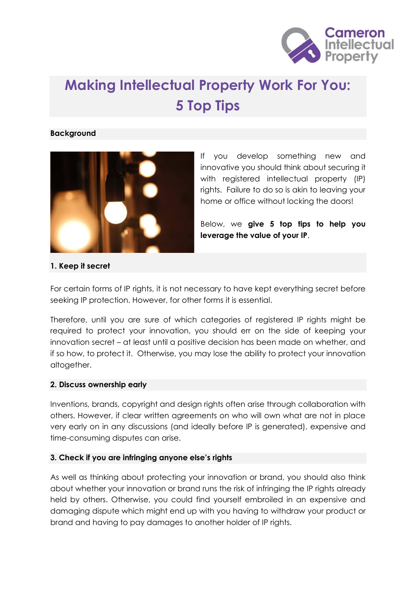

# **Making Intellectual Property Work For You: 5 Top Tips**

#### **Background**



If you develop something new and innovative you should think about securing it with registered intellectual property (IP) rights. Failure to do so is akin to leaving your home or office without locking the doors!

Below, we **give 5 top tips to help you leverage the value of your IP**.

#### **1. Keep it secret**

For certain forms of IP rights, it is not necessary to have kept everything secret before seeking IP protection. However, for other forms it is essential.

Therefore, until you are sure of which categories of registered IP rights might be required to protect your innovation, you should err on the side of keeping your innovation secret – at least until a positive decision has been made on whether, and if so how, to protect it. Otherwise, you may lose the ability to protect your innovation altogether.

#### **2. Discuss ownership early**

Inventions, brands, copyright and design rights often arise through collaboration with others. However, if clear written agreements on who will own what are not in place very early on in any discussions (and ideally before IP is generated), expensive and time-consuming disputes can arise.

#### **3. Check if you are infringing anyone else's rights**

As well as thinking about protecting your innovation or brand, you should also think about whether your innovation or brand runs the risk of infringing the IP rights already held by others. Otherwise, you could find yourself embroiled in an expensive and damaging dispute which might end up with you having to withdraw your product or brand and having to pay damages to another holder of IP rights.